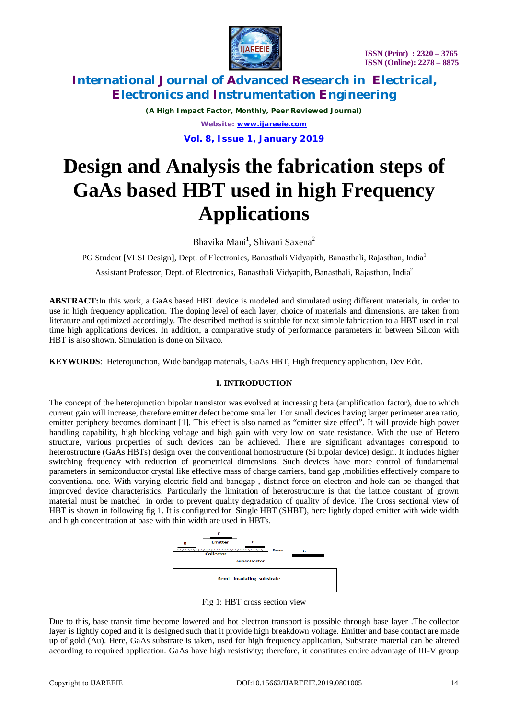

*(A High Impact Factor, Monthly, Peer Reviewed Journal) Website: [www.ijareeie.com](http://www.ijareeie.com)*

**Vol. 8, Issue 1, January 2019**

# **Design and Analysis the fabrication steps of GaAs based HBT used in high Frequency Applications**

Bhavika Mani<sup>1</sup>, Shivani Saxena<sup>2</sup>

PG Student [VLSI Design], Dept. of Electronics, Banasthali Vidyapith, Banasthali, Rajasthan, India<sup>1</sup>

Assistant Professor, Dept. of Electronics, Banasthali Vidyapith, Banasthali, Rajasthan, India<sup>2</sup>

**ABSTRACT:**In this work, a GaAs based HBT device is modeled and simulated using different materials, in order to use in high frequency application. The doping level of each layer, choice of materials and dimensions, are taken from literature and optimized accordingly. The described method is suitable for next simple fabrication to a HBT used in real time high applications devices. In addition, a comparative study of performance parameters in between Silicon with HBT is also shown. Simulation is done on Silvaco.

**KEYWORDS**: Heterojunction, Wide bandgap materials, GaAs HBT, High frequency application, Dev Edit.

### **I. INTRODUCTION**

The concept of the heterojunction bipolar transistor was evolved at increasing beta (amplification factor), due to which current gain will increase, therefore emitter defect become smaller. For small devices having larger perimeter area ratio, emitter periphery becomes dominant [1]. This effect is also named as "emitter size effect". It will provide high power handling capability, high blocking voltage and high gain with very low on state resistance. With the use of Hetero structure, various properties of such devices can be achieved. There are significant advantages correspond to heterostructure (GaAs HBTs) design over the conventional homostructure (Si bipolar device) design. It includes higher switching frequency with reduction of geometrical dimensions. Such devices have more control of fundamental parameters in semiconductor crystal like effective mass of charge carriers, band gap ,mobilities effectively compare to conventional one. With varying electric field and bandgap , distinct force on electron and hole can be changed that improved device characteristics. Particularly the limitation of heterostructure is that the lattice constant of grown material must be matched in order to prevent quality degradation of quality of device. The Cross sectional view of HBT is shown in following fig 1. It is configured for Single HBT (SHBT), here lightly doped emitter with wide width and high concentration at base with thin width are used in HBTs.



Fig 1: HBT cross section view

Due to this, base transit time become lowered and hot electron transport is possible through base layer .The collector layer is lightly doped and it is designed such that it provide high breakdown voltage. Emitter and base contact are made up of gold (Au). Here, GaAs substrate is taken, used for high frequency application, Substrate material can be altered according to required application. GaAs have high resistivity; therefore, it constitutes entire advantage of III-V group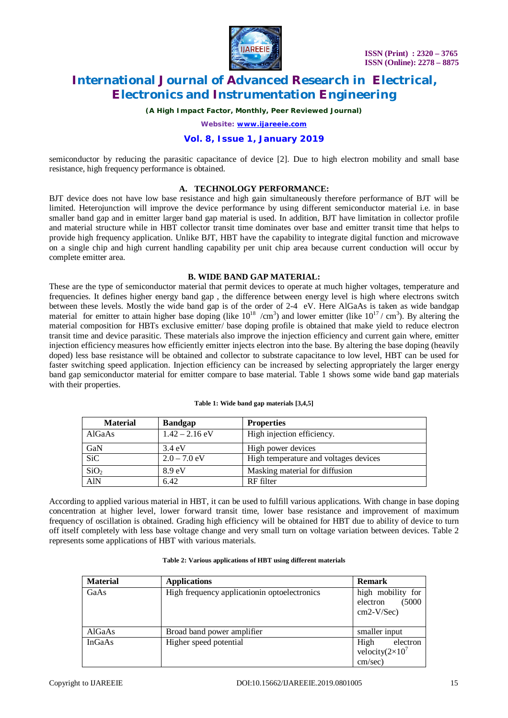

*(A High Impact Factor, Monthly, Peer Reviewed Journal)*

*Website: [www.ijareeie.com](http://www.ijareeie.com)*

### **Vol. 8, Issue 1, January 2019**

semiconductor by reducing the parasitic capacitance of device [2]. Due to high electron mobility and small base resistance, high frequency performance is obtained.

#### **A. TECHNOLOGY PERFORMANCE:**

BJT device does not have low base resistance and high gain simultaneously therefore performance of BJT will be limited. Heterojunction will improve the device performance by using different semiconductor material i.e. in base smaller band gap and in emitter larger band gap material is used. In addition, BJT have limitation in collector profile and material structure while in HBT collector transit time dominates over base and emitter transit time that helps to provide high frequency application. Unlike BJT, HBT have the capability to integrate digital function and microwave on a single chip and high current handling capability per unit chip area because current conduction will occur by complete emitter area.

#### **B. WIDE BAND GAP MATERIAL:**

These are the type of semiconductor material that permit devices to operate at much higher voltages, temperature and frequencies. It defines higher energy band gap , the difference between energy level is high where electrons switch between these levels. Mostly the wide band gap is of the order of 2-4 eV. Here AlGaAs is taken as wide bandgap material for emitter to attain higher base doping (like  $10^{18}$  /cm<sup>3</sup>) and lower emitter (like  $10^{17}$ / cm<sup>3</sup>). By altering the material composition for HBTs exclusive emitter/ base doping profile is obtained that make yield to reduce electron transit time and device parasitic. These materials also improve the injection efficiency and current gain where, emitter injection efficiency measures how efficiently emitter injects electron into the base. By altering the base doping (heavily doped) less base resistance will be obtained and collector to substrate capacitance to low level, HBT can be used for faster switching speed application. Injection efficiency can be increased by selecting appropriately the larger energy band gap semiconductor material for emitter compare to base material. Table 1 shows some wide band gap materials with their properties.

| <b>Material</b>  | <b>Bandgap</b>    | <b>Properties</b>                     |
|------------------|-------------------|---------------------------------------|
| AlGaAs           | $1.42 - 2.16$ eV  | High injection efficiency.            |
| GaN              | $3.4 \text{ eV}$  | High power devices                    |
| <b>SiC</b>       | $2.0 - 7.0$ eV    | High temperature and voltages devices |
| SiO <sub>2</sub> | 8.9 <sub>eV</sub> | Masking material for diffusion        |
| AlN              | 6.42              | RF filter                             |

**Table 1: Wide band gap materials [3,4,5]**

According to applied various material in HBT, it can be used to fulfill various applications. With change in base doping concentration at higher level, lower forward transit time, lower base resistance and improvement of maximum frequency of oscillation is obtained. Grading high efficiency will be obtained for HBT due to ability of device to turn off itself completely with less base voltage change and very small turn on voltage variation between devices. Table 2 represents some applications of HBT with various materials.

| <b>Material</b> | <b>Applications</b>                           | <b>Remark</b>                                           |
|-----------------|-----------------------------------------------|---------------------------------------------------------|
| GaAs            | High frequency application in optoelectronics | high mobility for<br>(5000)<br>electron<br>$cm2-V/Sec)$ |
| AlGaAs          | Broad band power amplifier                    | smaller input                                           |
| <b>InGaAs</b>   | Higher speed potential                        | High<br>electron<br>velocity $(2\times10^7)$<br>cm/sec) |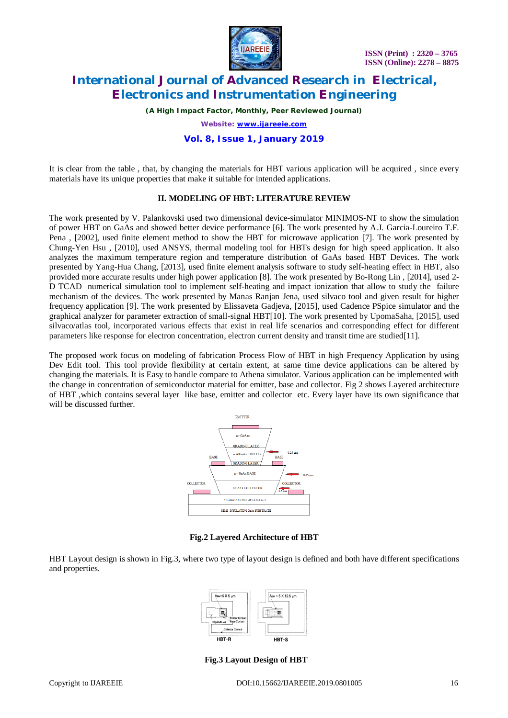

*(A High Impact Factor, Monthly, Peer Reviewed Journal)*

*Website: [www.ijareeie.com](http://www.ijareeie.com)*

### **Vol. 8, Issue 1, January 2019**

It is clear from the table , that, by changing the materials for HBT various application will be acquired , since every materials have its unique properties that make it suitable for intended applications.

#### **II. MODELING OF HBT: LITERATURE REVIEW**

The work presented by V. Palankovski used two dimensional device-simulator MINIMOS-NT to show the simulation of power HBT on GaAs and showed better device performance [6]. The work presented by A.J. Garcia-Loureiro T.F. Pena , [2002], used finite element method to show the HBT for microwave application [7]. The work presented by Chung-Yen Hsu , [2010], used ANSYS, thermal modeling tool for HBTs design for high speed application. It also analyzes the maximum temperature region and temperature distribution of GaAs based HBT Devices. The work presented by Yang-Hua Chang, [2013], used finite element analysis software to study self-heating effect in HBT, also provided more accurate results under high power application [8]. The work presented by Bo-Rong Lin , [2014], used 2- D TCAD numerical simulation tool to implement self-heating and impact ionization that allow to study the failure mechanism of the devices. The work presented by Manas Ranjan Jena, used silvaco tool and given result for higher frequency application [9]. The work presented by Elissaveta Gadjeva, [2015], used Cadence PSpice simulator and the graphical analyzer for parameter extraction of small-signal HBT[10]. The work presented by UpomaSaha, [2015], used silvaco/atlas tool, incorporated various effects that exist in real life scenarios and corresponding effect for different parameters like response for electron concentration, electron current density and transit time are studied[11].

The proposed work focus on modeling of fabrication Process Flow of HBT in high Frequency Application by using Dev Edit tool. This tool provide flexibility at certain extent, at same time device applications can be altered by changing the materials. It is Easy to handle compare to Athena simulator. Various application can be implemented with the change in concentration of semiconductor material for emitter, base and collector. Fig 2 shows Layered architecture of HBT ,which contains several layer like base, emitter and collector etc. Every layer have its own significance that will be discussed further.



**Fig.2 Layered Architecture of HBT**

HBT Layout design is shown in Fig.3, where two type of layout design is defined and both have different specifications and properties.



**Fig.3 Layout Design of HBT**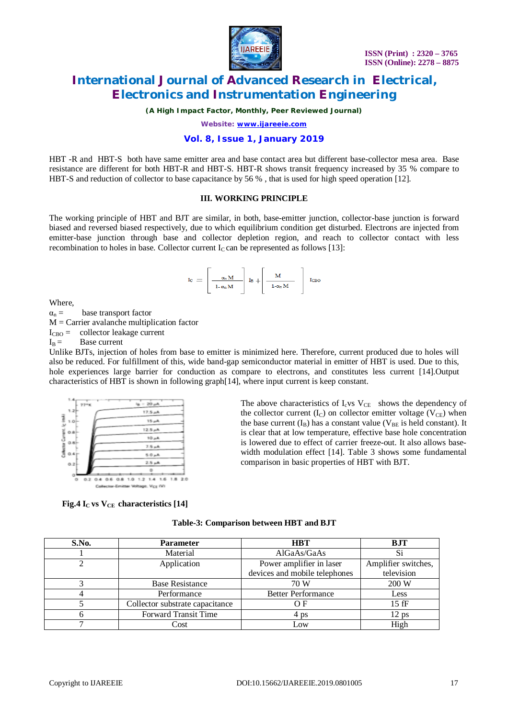

*(A High Impact Factor, Monthly, Peer Reviewed Journal)*

*Website: [www.ijareeie.com](http://www.ijareeie.com)*

### **Vol. 8, Issue 1, January 2019**

HBT -R and HBT-S both have same emitter area and base contact area but different base-collector mesa area. Base resistance are different for both HBT-R and HBT-S. HBT-R shows transit frequency increased by 35 % compare to HBT-S and reduction of collector to base capacitance by 56 % , that is used for high speed operation [12].

#### **III. WORKING PRINCIPLE**

The working principle of HBT and BJT are similar, in both, base-emitter junction, collector-base junction is forward biased and reversed biased respectively, due to which equilibrium condition get disturbed. Electrons are injected from emitter-base junction through base and collector depletion region, and reach to collector contact with less recombination to holes in base. Collector current  $I_c$  can be represented as follows [13]:

$$
I_C = \left[\begin{array}{c} \mathfrak{a}_n M \\ \hline 1 \cdot \mathfrak{a}_n M \end{array}\right] I_B + \left[\begin{array}{c} M \\ \hline 1 \cdot \mathfrak{a}_n M \end{array}\right] I_{CBO}
$$

Where,

 $\alpha_n =$  base transport factor

 $M =$  Carrier avalanche multiplication factor

 $I_{CBO}$  = collector leakage current

 $I_B =$  Base current

Unlike BJTs, injection of holes from base to emitter is minimized here. Therefore, current produced due to holes will also be reduced. For fulfillment of this, wide band-gap semiconductor material in emitter of HBT is used. Due to this, hole experiences large barrier for conduction as compare to electrons, and constitutes less current [14].Output characteristics of HBT is shown in following graph[14], where input current is keep constant.



 **Fig.4 IC vs VCE characteristics [14]**

| The above characteristics of $I_{c}$ vs $V_{CE}$ shows the dependency of       |
|--------------------------------------------------------------------------------|
| the collector current $(I_C)$ on collector emitter voltage ( $V_{CE}$ ) when   |
| the base current $(I_B)$ has a constant value ( $V_{BE}$ is held constant). It |
| is clear that at low temperature, effective base hole concentration            |
| is lowered due to effect of carrier freeze-out. It also allows base-           |
| width modulation effect [14]. Table 3 shows some fundamental                   |
| comparison in basic properties of HBT with BJT.                                |
|                                                                                |

| S.No. | <b>Parameter</b>                | <b>HBT</b>                    | <b>BJT</b>          |  |
|-------|---------------------------------|-------------------------------|---------------------|--|
|       | Material                        | AlGaAs/GaAs                   | Si                  |  |
|       | Application                     | Power amplifier in laser      | Amplifier switches, |  |
|       |                                 | devices and mobile telephones | television          |  |
|       | <b>Base Resistance</b>          | 70 W                          | 200 W               |  |
|       | Performance                     | <b>Better Performance</b>     | Less                |  |
|       | Collector substrate capacitance | ΟF                            | $15$ fF             |  |
|       | <b>Forward Transit Time</b>     | 4 ps                          | $12$ ps             |  |
|       | Cost                            | Low                           | High                |  |

**Table-3: Comparison between HBT and BJT**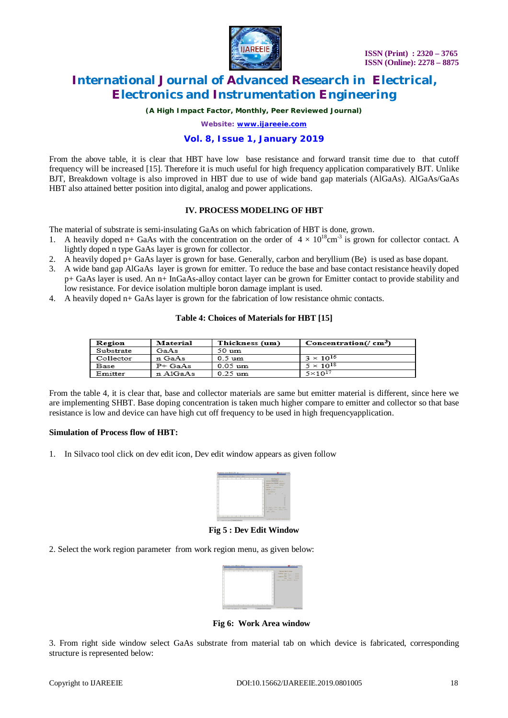

*(A High Impact Factor, Monthly, Peer Reviewed Journal)*

*Website: [www.ijareeie.com](http://www.ijareeie.com)*

### **Vol. 8, Issue 1, January 2019**

From the above table, it is clear that HBT have low base resistance and forward transit time due to that cutoff frequency will be increased [15]. Therefore it is much useful for high frequency application comparatively BJT. Unlike BJT, Breakdown voltage is also improved in HBT due to use of wide band gap materials (AlGaAs). AlGaAs/GaAs HBT also attained better position into digital, analog and power applications.

#### **IV. PROCESS MODELING OF HBT**

The material of substrate is semi-insulating GaAs on which fabrication of HBT is done, grown.

- 1. A heavily doped n+ GaAs with the concentration on the order of  $4 \times 10^{18}$ cm<sup>-3</sup> is grown for collector contact. A lightly doped n type GaAs layer is grown for collector.
- 2. A heavily doped p+ GaAs layer is grown for base. Generally, carbon and beryllium (Be) is used as base dopant.
- 3. A wide band gap AlGaAs layer is grown for emitter. To reduce the base and base contact resistance heavily doped p+ GaAs layer is used. An n+ InGaAs-alloy contact layer can be grown for Emitter contact to provide stability and low resistance. For device isolation multiple boron damage implant is used.
- 4. A heavily doped n+ GaAs layer is grown for the fabrication of low resistance ohmic contacts.

#### **Table 4: Choices of Materials for HBT [15]**

| Region    | Material | Thickness (um)    | Concentration(/ $\text{cm}^3$ ) |
|-----------|----------|-------------------|---------------------------------|
| Substrate | GaAs     | 50 um             |                                 |
| Collector | n GaAs   | $0.5 \text{ um}$  | $3 \times 10^{16}$              |
| Base      | $P+GaAs$ | $0.05 \text{ um}$ | $5 \times 10^{18}$              |
| Emitter   | n AlGaAs | $0.25 \text{ um}$ | $5 \times 10^{17}$              |

From the table 4, it is clear that, base and collector materials are same but emitter material is different, since here we are implementing SHBT. Base doping concentration is taken much higher compare to emitter and collector so that base resistance is low and device can have high cut off frequency to be used in high frequencyapplication.

#### **Simulation of Process flow of HBT:**

1. In Silvaco tool click on dev edit icon, Dev edit window appears as given follow



**Fig 5 : Dev Edit Window**

2. Select the work region parameter from work region menu, as given below:



**Fig 6: Work Area window**

3. From right side window select GaAs substrate from material tab on which device is fabricated, corresponding structure is represented below: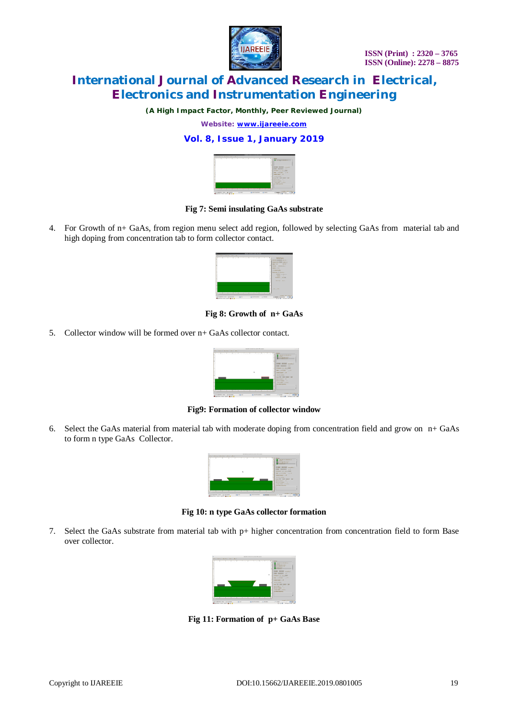

*(A High Impact Factor, Monthly, Peer Reviewed Journal)*

*Website: [www.ijareeie.com](http://www.ijareeie.com)*

### **Vol. 8, Issue 1, January 2019**



#### **Fig 7: Semi insulating GaAs substrate**

4. For Growth of n+ GaAs, from region menu select add region, followed by selecting GaAs from material tab and high doping from concentration tab to form collector contact.



**Fig 8: Growth of n+ GaAs**

5. Collector window will be formed over n+ GaAs collector contact.



**Fig9: Formation of collector window**

6. Select the GaAs material from material tab with moderate doping from concentration field and grow on n+ GaAs to form n type GaAs Collector.



**Fig 10: n type GaAs collector formation**

7. Select the GaAs substrate from material tab with p+ higher concentration from concentration field to form Base over collector.



**Fig 11: Formation of p+ GaAs Base**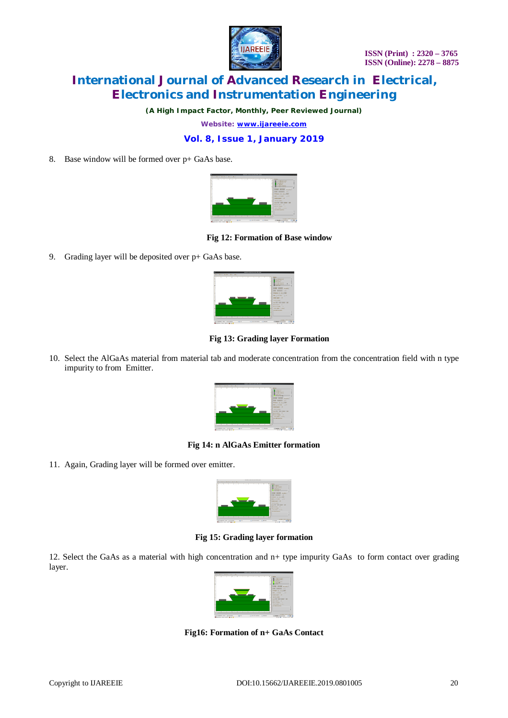

*(A High Impact Factor, Monthly, Peer Reviewed Journal)*

*Website: [www.ijareeie.com](http://www.ijareeie.com)*

### **Vol. 8, Issue 1, January 2019**

8. Base window will be formed over p+ GaAs base.



**Fig 12: Formation of Base window**

9. Grading layer will be deposited over p+ GaAs base.



**Fig 13: Grading layer Formation**

10. Select the AlGaAs material from material tab and moderate concentration from the concentration field with n type impurity to from Emitter.



#### **Fig 14: n AlGaAs Emitter formation**

11. Again, Grading layer will be formed over emitter.



**Fig 15: Grading layer formation**

12. Select the GaAs as a material with high concentration and n+ type impurity GaAs to form contact over grading layer.



**Fig16: Formation of n+ GaAs Contact**